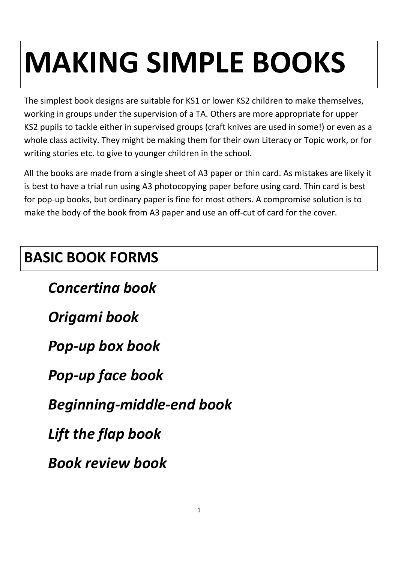# **MAKING SIMPLE BOOKS**

The simplest book designs are suitable for KS1 or lower KS2 children to make themselves, working in groups under the supervision of a TA. Others are more appropriate for upper KS2 pupils to tackle either in supervised groups (craft knives are used in some!) or even as a whole class activity. They might be making them for their own Literacy or Topic work, or for writing stories etc. to give to younger children in the school.

All the books are made from a single sheet of A3 paper or thin card. As mistakes are likely it is best to have a trial run using A3 photocopying paper before using card. Thin card is best for pop-up books, but ordinary paper is fine for most others. A compromise solution is to make the body of the book from A3 paper and use an off-cut of card for the cover.

#### **BASIC BOOK FORMS**

*Concertina book*

*Origami book*

*Pop-up box book*

*Pop-up face book*

*Beginning-middle-end book*

*Lift the flap book*

*Book review book*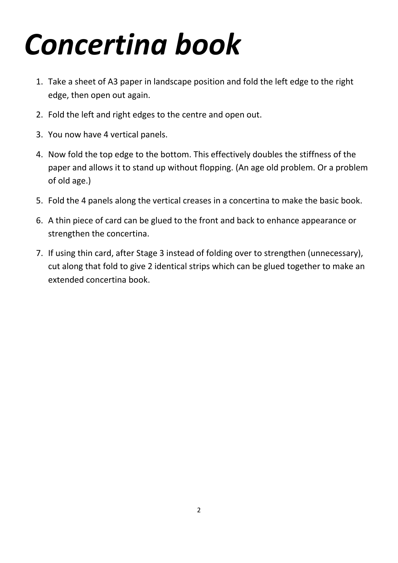#### *Concertina book*

- 1. Take a sheet of A3 paper in landscape position and fold the left edge to the right edge, then open out again.
- 2. Fold the left and right edges to the centre and open out.
- 3. You now have 4 vertical panels.
- 4. Now fold the top edge to the bottom. This effectively doubles the stiffness of the paper and allows it to stand up without flopping. (An age old problem. Or a problem of old age.)
- 5. Fold the 4 panels along the vertical creases in a concertina to make the basic book.
- 6. A thin piece of card can be glued to the front and back to enhance appearance or strengthen the concertina.
- 7. If using thin card, after Stage 3 instead of folding over to strengthen (unnecessary), cut along that fold to give 2 identical strips which can be glued together to make an extended concertina book.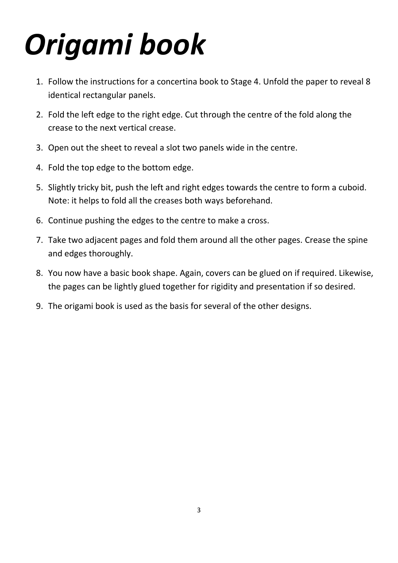## *Origami book*

- 1. Follow the instructions for a concertina book to Stage 4. Unfold the paper to reveal 8 identical rectangular panels.
- 2. Fold the left edge to the right edge. Cut through the centre of the fold along the crease to the next vertical crease.
- 3. Open out the sheet to reveal a slot two panels wide in the centre.
- 4. Fold the top edge to the bottom edge.
- 5. Slightly tricky bit, push the left and right edges towards the centre to form a cuboid. Note: it helps to fold all the creases both ways beforehand.
- 6. Continue pushing the edges to the centre to make a cross.
- 7. Take two adjacent pages and fold them around all the other pages. Crease the spine and edges thoroughly.
- 8. You now have a basic book shape. Again, covers can be glued on if required. Likewise, the pages can be lightly glued together for rigidity and presentation if so desired.
- 9. The origami book is used as the basis for several of the other designs.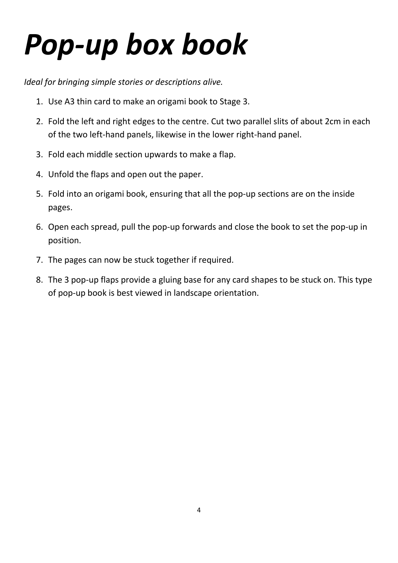#### *Pop-up box book*

*Ideal for bringing simple stories or descriptions alive.*

- 1. Use A3 thin card to make an origami book to Stage 3.
- 2. Fold the left and right edges to the centre. Cut two parallel slits of about 2cm in each of the two left-hand panels, likewise in the lower right-hand panel.
- 3. Fold each middle section upwards to make a flap.
- 4. Unfold the flaps and open out the paper.
- 5. Fold into an origami book, ensuring that all the pop-up sections are on the inside pages.
- 6. Open each spread, pull the pop-up forwards and close the book to set the pop-up in position.
- 7. The pages can now be stuck together if required.
- 8. The 3 pop-up flaps provide a gluing base for any card shapes to be stuck on. This type of pop-up book is best viewed in landscape orientation.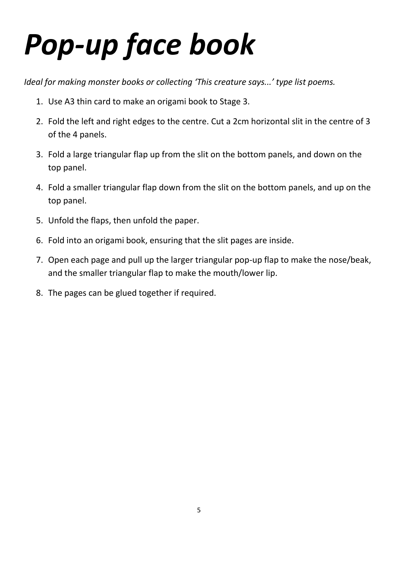### *Pop-up face book*

*Ideal for making monster books or collecting 'This creature says...' type list poems.*

- 1. Use A3 thin card to make an origami book to Stage 3.
- 2. Fold the left and right edges to the centre. Cut a 2cm horizontal slit in the centre of 3 of the 4 panels.
- 3. Fold a large triangular flap up from the slit on the bottom panels, and down on the top panel.
- 4. Fold a smaller triangular flap down from the slit on the bottom panels, and up on the top panel.
- 5. Unfold the flaps, then unfold the paper.
- 6. Fold into an origami book, ensuring that the slit pages are inside.
- 7. Open each page and pull up the larger triangular pop-up flap to make the nose/beak, and the smaller triangular flap to make the mouth/lower lip.
- 8. The pages can be glued together if required.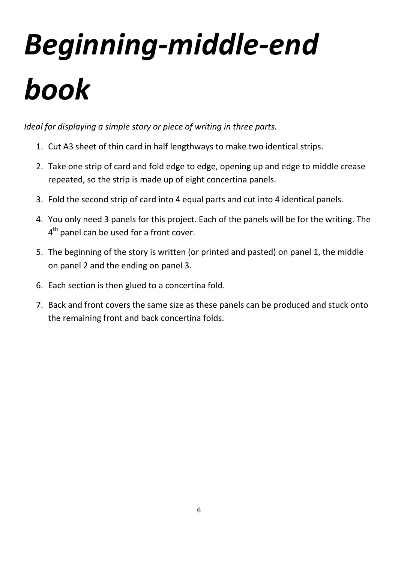# *Beginning-middle-end book*

*Ideal for displaying a simple story or piece of writing in three parts.*

- 1. Cut A3 sheet of thin card in half lengthways to make two identical strips.
- 2. Take one strip of card and fold edge to edge, opening up and edge to middle crease repeated, so the strip is made up of eight concertina panels.
- 3. Fold the second strip of card into 4 equal parts and cut into 4 identical panels.
- 4. You only need 3 panels for this project. Each of the panels will be for the writing. The 4<sup>th</sup> panel can be used for a front cover.
- 5. The beginning of the story is written (or printed and pasted) on panel 1, the middle on panel 2 and the ending on panel 3.
- 6. Each section is then glued to a concertina fold.
- 7. Back and front covers the same size as these panels can be produced and stuck onto the remaining front and back concertina folds.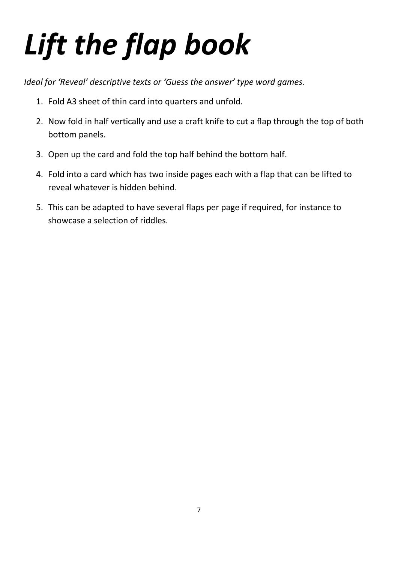## *Lift the flap book*

*Ideal for 'Reveal' descriptive texts or 'Guess the answer' type word games.*

- 1. Fold A3 sheet of thin card into quarters and unfold.
- 2. Now fold in half vertically and use a craft knife to cut a flap through the top of both bottom panels.
- 3. Open up the card and fold the top half behind the bottom half.
- 4. Fold into a card which has two inside pages each with a flap that can be lifted to reveal whatever is hidden behind.
- 5. This can be adapted to have several flaps per page if required, for instance to showcase a selection of riddles.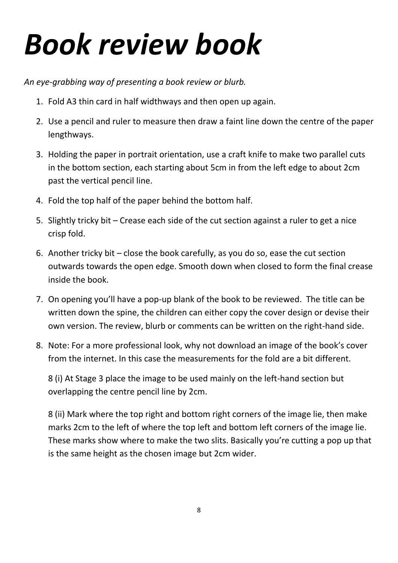#### *Book review book*

*An eye-grabbing way of presenting a book review or blurb.*

- 1. Fold A3 thin card in half widthways and then open up again.
- 2. Use a pencil and ruler to measure then draw a faint line down the centre of the paper lengthways.
- 3. Holding the paper in portrait orientation, use a craft knife to make two parallel cuts in the bottom section, each starting about 5cm in from the left edge to about 2cm past the vertical pencil line.
- 4. Fold the top half of the paper behind the bottom half.
- 5. Slightly tricky bit Crease each side of the cut section against a ruler to get a nice crisp fold.
- 6. Another tricky bit close the book carefully, as you do so, ease the cut section outwards towards the open edge. Smooth down when closed to form the final crease inside the book.
- 7. On opening you'll have a pop-up blank of the book to be reviewed. The title can be written down the spine, the children can either copy the cover design or devise their own version. The review, blurb or comments can be written on the right-hand side.
- 8. Note: For a more professional look, why not download an image of the book's cover from the internet. In this case the measurements for the fold are a bit different.

8 (i) At Stage 3 place the image to be used mainly on the left-hand section but overlapping the centre pencil line by 2cm.

8 (ii) Mark where the top right and bottom right corners of the image lie, then make marks 2cm to the left of where the top left and bottom left corners of the image lie. These marks show where to make the two slits. Basically you're cutting a pop up that is the same height as the chosen image but 2cm wider.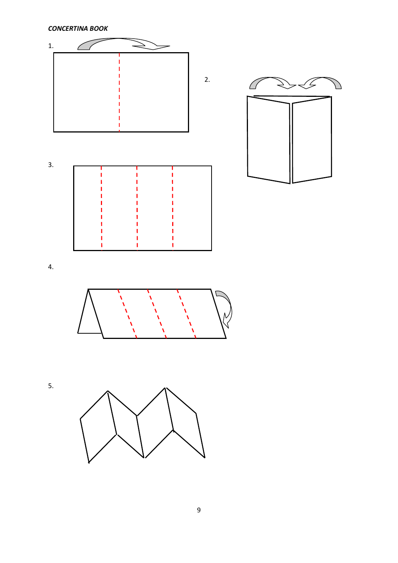*CONCERTINA BOOK*



Ĝ

4.



5.

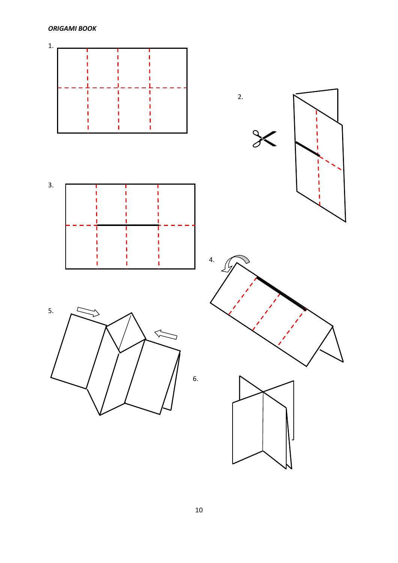*ORIGAMI BOOK*

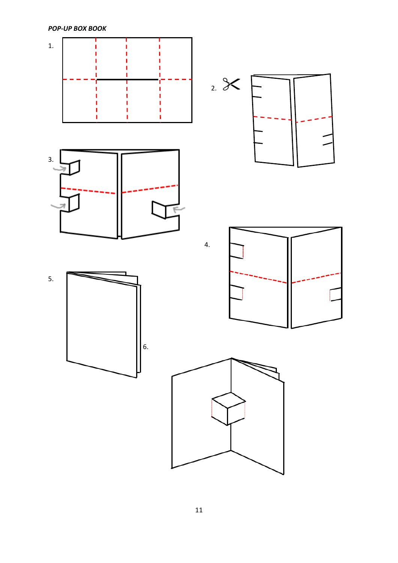*POP-UP BOX BOOK* 

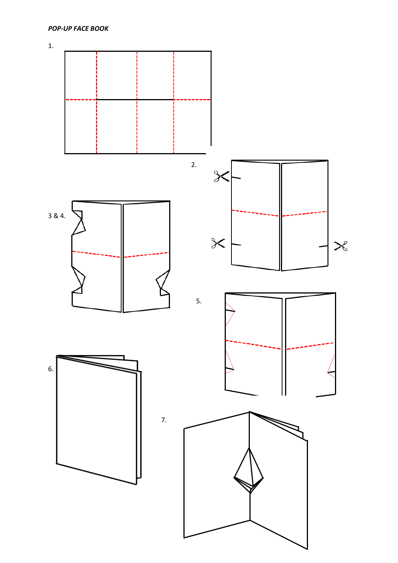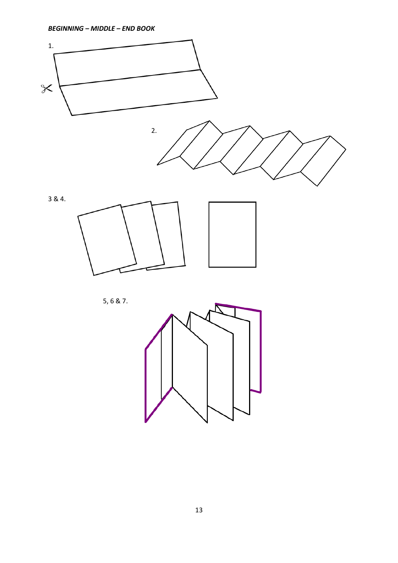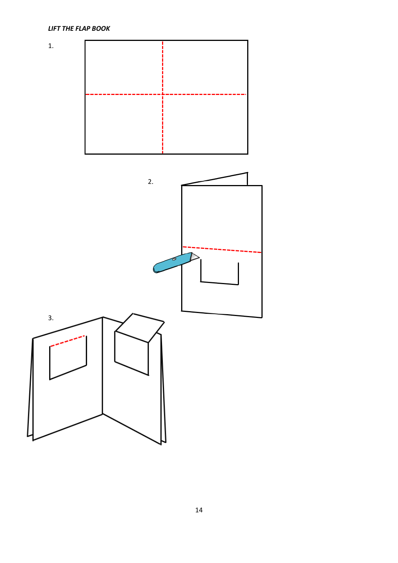